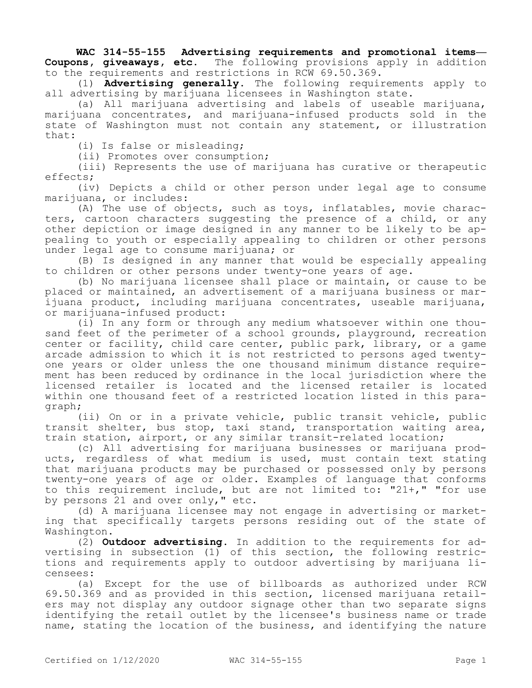**WAC 314-55-155 Advertising requirements and promotional items— Coupons, giveaways, etc.** The following provisions apply in addition to the requirements and restrictions in RCW 69.50.369.

(1) **Advertising generally.** The following requirements apply to all advertising by marijuana licensees in Washington state.

(a) All marijuana advertising and labels of useable marijuana, marijuana concentrates, and marijuana-infused products sold in the state of Washington must not contain any statement, or illustration that:

(i) Is false or misleading;

(ii) Promotes over consumption;

(iii) Represents the use of marijuana has curative or therapeutic effects;

(iv) Depicts a child or other person under legal age to consume marijuana, or includes:

(A) The use of objects, such as toys, inflatables, movie characters, cartoon characters suggesting the presence of a child, or any other depiction or image designed in any manner to be likely to be appealing to youth or especially appealing to children or other persons under legal age to consume marijuana; or

(B) Is designed in any manner that would be especially appealing to children or other persons under twenty-one years of age.

(b) No marijuana licensee shall place or maintain, or cause to be placed or maintained, an advertisement of a marijuana business or marijuana product, including marijuana concentrates, useable marijuana, or marijuana-infused product:

(i) In any form or through any medium whatsoever within one thousand feet of the perimeter of a school grounds, playground, recreation center or facility, child care center, public park, library, or a game arcade admission to which it is not restricted to persons aged twentyone years or older unless the one thousand minimum distance requirement has been reduced by ordinance in the local jurisdiction where the licensed retailer is located and the licensed retailer is located within one thousand feet of a restricted location listed in this paragraph;

(ii) On or in a private vehicle, public transit vehicle, public transit shelter, bus stop, taxi stand, transportation waiting area, train station, airport, or any similar transit-related location;

(c) All advertising for marijuana businesses or marijuana products, regardless of what medium is used, must contain text stating that marijuana products may be purchased or possessed only by persons twenty-one years of age or older. Examples of language that conforms to this requirement include, but are not limited to: "21+," "for use by persons 21 and over only," etc.

(d) A marijuana licensee may not engage in advertising or marketing that specifically targets persons residing out of the state of Washington.

(2) **Outdoor advertising.** In addition to the requirements for advertising in subsection (1) of this section, the following restrictions and requirements apply to outdoor advertising by marijuana licensees:

(a) Except for the use of billboards as authorized under RCW 69.50.369 and as provided in this section, licensed marijuana retailers may not display any outdoor signage other than two separate signs identifying the retail outlet by the licensee's business name or trade name, stating the location of the business, and identifying the nature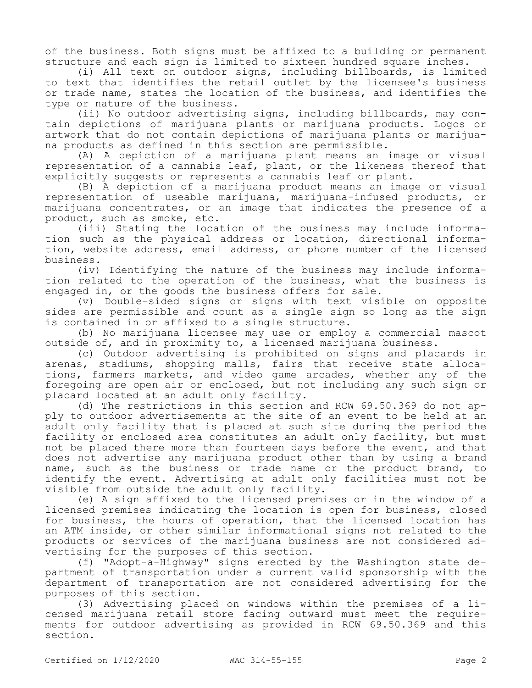of the business. Both signs must be affixed to a building or permanent structure and each sign is limited to sixteen hundred square inches.

(i) All text on outdoor signs, including billboards, is limited to text that identifies the retail outlet by the licensee's business or trade name, states the location of the business, and identifies the type or nature of the business.

(ii) No outdoor advertising signs, including billboards, may contain depictions of marijuana plants or marijuana products. Logos or artwork that do not contain depictions of marijuana plants or marijuana products as defined in this section are permissible.

(A) A depiction of a marijuana plant means an image or visual representation of a cannabis leaf, plant, or the likeness thereof that explicitly suggests or represents a cannabis leaf or plant.

(B) A depiction of a marijuana product means an image or visual representation of useable marijuana, marijuana-infused products, or marijuana concentrates, or an image that indicates the presence of a product, such as smoke, etc.

(iii) Stating the location of the business may include information such as the physical address or location, directional information, website address, email address, or phone number of the licensed business.

(iv) Identifying the nature of the business may include information related to the operation of the business, what the business is engaged in, or the goods the business offers for sale.

(v) Double-sided signs or signs with text visible on opposite sides are permissible and count as a single sign so long as the sign is contained in or affixed to a single structure.

(b) No marijuana licensee may use or employ a commercial mascot outside of, and in proximity to, a licensed marijuana business.

(c) Outdoor advertising is prohibited on signs and placards in arenas, stadiums, shopping malls, fairs that receive state allocations, farmers markets, and video game arcades, whether any of the foregoing are open air or enclosed, but not including any such sign or placard located at an adult only facility.

(d) The restrictions in this section and RCW 69.50.369 do not apply to outdoor advertisements at the site of an event to be held at an adult only facility that is placed at such site during the period the facility or enclosed area constitutes an adult only facility, but must not be placed there more than fourteen days before the event, and that does not advertise any marijuana product other than by using a brand name, such as the business or trade name or the product brand, to identify the event. Advertising at adult only facilities must not be visible from outside the adult only facility.

(e) A sign affixed to the licensed premises or in the window of a licensed premises indicating the location is open for business, closed for business, the hours of operation, that the licensed location has an ATM inside, or other similar informational signs not related to the products or services of the marijuana business are not considered advertising for the purposes of this section.

(f) "Adopt-a-Highway" signs erected by the Washington state department of transportation under a current valid sponsorship with the department of transportation are not considered advertising for the purposes of this section.

(3) Advertising placed on windows within the premises of a licensed marijuana retail store facing outward must meet the requirements for outdoor advertising as provided in RCW 69.50.369 and this section.